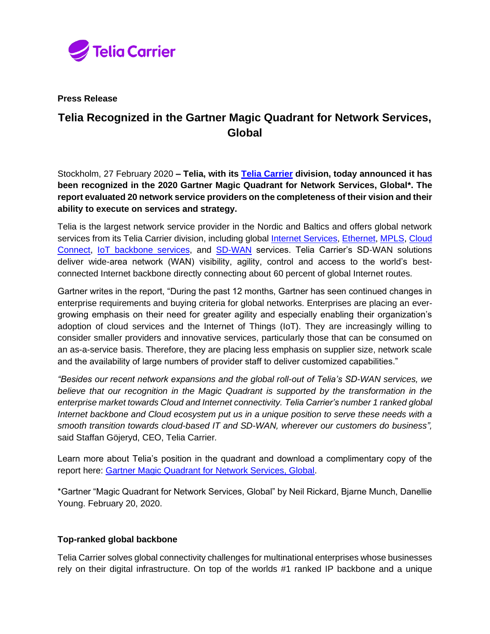

**Press Release**

## **Telia Recognized in the Gartner Magic Quadrant for Network Services, Global**

Stockholm, 27 February 2020 **– Telia, with its [Telia Carrier](https://www.teliacarrier.com/) division, today announced it has been recognized in the 2020 Gartner Magic Quadrant for Network Services, Global\*. The report evaluated 20 network service providers on the completeness of their vision and their ability to execute on services and strategy.**

Telia is the largest network service provider in the Nordic and Baltics and offers global network services from its Telia Carrier division, including global [Internet Services,](https://www.teliacarrier.com/products-and-services/internet-and-cloud/ip-transit.html) [Ethernet,](https://www.teliacarrier.com/products-and-services/Networking/ethernet.html) [MPLS,](https://www.teliacarrier.com/products-and-services/Networking/smart-ip-vpn.html) [Cloud](https://www.teliacarrier.com/products-and-services/internet-and-cloud/cloud-connect.html)  [Connect,](https://www.teliacarrier.com/products-and-services/internet-and-cloud/cloud-connect.html) [IoT backbone services,](https://www.teliacarrier.com/products-and-services/Voice-mobile-data-and-iot/ipx-and-iot.html) and [SD-WAN](https://www.teliacarrier.com/products-and-services/Networking/sd-wan.html) services. Telia Carrier's SD-WAN solutions deliver wide-area network (WAN) visibility, agility, control and access to the world's bestconnected Internet backbone directly connecting about 60 percent of global Internet routes.

Gartner writes in the report, "During the past 12 months, Gartner has seen continued changes in enterprise requirements and buying criteria for global networks. Enterprises are placing an evergrowing emphasis on their need for greater agility and especially enabling their organization's adoption of cloud services and the Internet of Things (IoT). They are increasingly willing to consider smaller providers and innovative services, particularly those that can be consumed on an as-a-service basis. Therefore, they are placing less emphasis on supplier size, network scale and the availability of large numbers of provider staff to deliver customized capabilities."

*"Besides our recent network expansions and the global roll-out of Telia's SD-WAN services, we believe that our recognition in the Magic Quadrant is supported by the transformation in the enterprise market towards Cloud and Internet connectivity. Telia Carrier's number 1 ranked global Internet backbone and Cloud ecosystem put us in a unique position to serve these needs with a smooth transition towards cloud-based IT and SD-WAN, wherever our customers do business",*  said Staffan Göjeryd, CEO, Telia Carrier*.*

Learn more about Telia's position in the quadrant and download a complimentary copy of the report here: [Gartner Magic Quadrant for Network Services, Global.](https://www.teliacarrier.com/knowledge-hub/gartner-mq-player.html)

\*Gartner "Magic Quadrant for Network Services, Global" by Neil Rickard, Bjarne Munch, Danellie Young. February 20, 2020.

## **Top-ranked global backbone**

Telia Carrier solves global connectivity challenges for multinational enterprises whose businesses rely on their digital infrastructure. On top of the worlds #1 ranked IP backbone and a unique